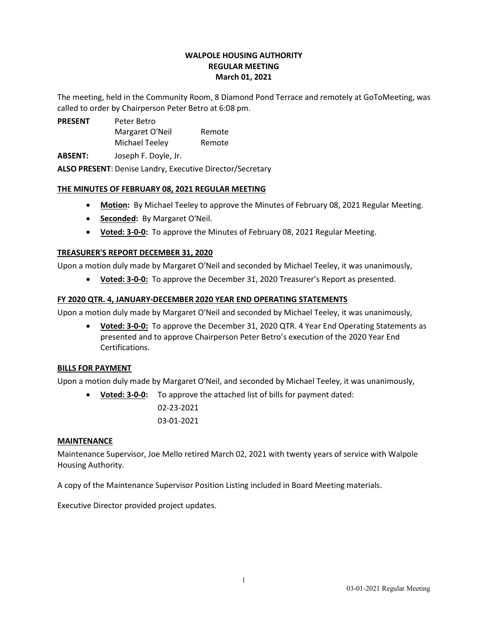# WALPOLE HOUSING AUTHORITY REGULAR MEETING March 01, 2021

The meeting, held in the Community Room, 8 Diamond Pond Terrace and remotely at GoToMeeting, was called to order by Chairperson Peter Betro at 6:08 pm.

PRESENT Peter Betro Margaret O'Neil Remote Michael Teeley Remote

ABSENT: Joseph F. Doyle, Jr.

ALSO PRESENT: Denise Landry, Executive Director/Secretary

# THE MINUTES OF FEBRUARY 08, 2021 REGULAR MEETING

- Motion: By Michael Teeley to approve the Minutes of February 08, 2021 Regular Meeting.
- Seconded: By Margaret O'Neil.
- Voted: 3-0-0: To approve the Minutes of February 08, 2021 Regular Meeting.

# TREASURER'S REPORT DECEMBER 31, 2020

Upon a motion duly made by Margaret O′Neil and seconded by Michael Teeley, it was unanimously,

Voted: 3-0-0: To approve the December 31, 2020 Treasurer's Report as presented.

# FY 2020 QTR. 4, JANUARY-DECEMBER 2020 YEAR END OPERATING STATEMENTS

Upon a motion duly made by Margaret O′Neil and seconded by Michael Teeley, it was unanimously,

 Voted: 3-0-0: To approve the December 31, 2020 QTR. 4 Year End Operating Statements as presented and to approve Chairperson Peter Betro's execution of the 2020 Year End Certifications.

# BILLS FOR PAYMENT

Upon a motion duly made by Margaret O′Neil, and seconded by Michael Teeley, it was unanimously,

• Voted: 3-0-0: To approve the attached list of bills for payment dated: 02-23-2021 03-01-2021

# MAINTENANCE

Maintenance Supervisor, Joe Mello retired March 02, 2021 with twenty years of service with Walpole Housing Authority.

A copy of the Maintenance Supervisor Position Listing included in Board Meeting materials.

Executive Director provided project updates.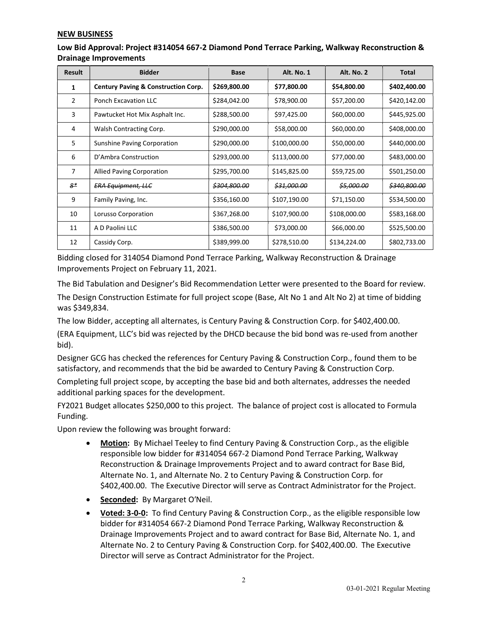### NEW BUSINESS

| Low Bid Approval: Project #314054 667-2 Diamond Pond Terrace Parking, Walkway Reconstruction & |
|------------------------------------------------------------------------------------------------|
| <b>Drainage Improvements</b>                                                                   |

| <b>Result</b>  | <b>Bidder</b>                                  | Base                    | Alt. No. 1             | <b>Alt. No. 2</b>     | Total                   |
|----------------|------------------------------------------------|-------------------------|------------------------|-----------------------|-------------------------|
| 1              | <b>Century Paving &amp; Construction Corp.</b> | \$269,800.00            | \$77,800.00            | \$54,800.00           | \$402,400.00            |
| $\overline{2}$ | <b>Ponch Excavation LLC</b>                    | \$284,042.00            | \$78,900.00            | \$57,200.00           | \$420,142.00            |
| 3              | Pawtucket Hot Mix Asphalt Inc.                 | \$288,500.00            | \$97,425.00            | \$60,000.00           | \$445,925.00            |
| 4              | Walsh Contracting Corp.                        | \$290,000.00            | \$58,000.00            | \$60,000.00           | \$408,000.00            |
| 5              | <b>Sunshine Paving Corporation</b>             | \$290,000.00            | \$100,000.00           | \$50,000.00           | \$440,000.00            |
| 6              | D'Ambra Construction                           | \$293,000.00            | \$113,000.00           | \$77,000.00           | \$483,000.00            |
| 7              | <b>Allied Paving Corporation</b>               | \$295,700.00            | \$145,825.00           | \$59,725.00           | \$501,250.00            |
| $8*$           | <b>ERA Equipment, LLC</b>                      | <del>\$304,800.00</del> | <del>\$31,000.00</del> | <del>\$5,000.00</del> | <del>\$340,800.00</del> |
| 9              | Family Paving, Inc.                            | \$356,160.00            | \$107,190.00           | \$71,150.00           | \$534,500.00            |
| 10             | Lorusso Corporation                            | \$367,268.00            | \$107,900.00           | \$108,000.00          | \$583,168.00            |
| 11             | A D Paolini LLC                                | \$386,500.00            | \$73,000.00            | \$66,000.00           | \$525,500.00            |
| 12             | Cassidy Corp.                                  | \$389,999.00            | \$278,510.00           | \$134,224.00          | \$802,733.00            |

Bidding closed for 314054 Diamond Pond Terrace Parking, Walkway Reconstruction & Drainage Improvements Project on February 11, 2021.

The Bid Tabulation and Designer's Bid Recommendation Letter were presented to the Board for review.

The Design Construction Estimate for full project scope (Base, Alt No 1 and Alt No 2) at time of bidding was \$349,834.

The low Bidder, accepting all alternates, is Century Paving & Construction Corp. for \$402,400.00.

(ERA Equipment, LLC's bid was rejected by the DHCD because the bid bond was re-used from another bid).

Designer GCG has checked the references for Century Paving & Construction Corp., found them to be satisfactory, and recommends that the bid be awarded to Century Paving & Construction Corp.

Completing full project scope, by accepting the base bid and both alternates, addresses the needed additional parking spaces for the development.

FY2021 Budget allocates \$250,000 to this project. The balance of project cost is allocated to Formula Funding.

Upon review the following was brought forward:

- Motion: By Michael Teeley to find Century Paving & Construction Corp., as the eligible responsible low bidder for #314054 667-2 Diamond Pond Terrace Parking, Walkway Reconstruction & Drainage Improvements Project and to award contract for Base Bid, Alternate No. 1, and Alternate No. 2 to Century Paving & Construction Corp. for \$402,400.00. The Executive Director will serve as Contract Administrator for the Project.
- Seconded: By Margaret O'Neil.
- Voted: 3-0-0: To find Century Paving & Construction Corp., as the eligible responsible low bidder for #314054 667-2 Diamond Pond Terrace Parking, Walkway Reconstruction & Drainage Improvements Project and to award contract for Base Bid, Alternate No. 1, and Alternate No. 2 to Century Paving & Construction Corp. for \$402,400.00. The Executive Director will serve as Contract Administrator for the Project.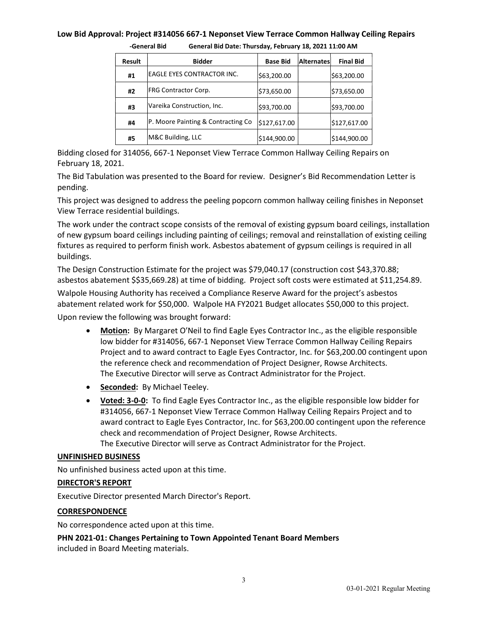### Low Bid Approval: Project #314056 667-1 Neponset View Terrace Common Hallway Ceiling Repairs

| Result | <b>Bidder</b>                      | <b>Base Bid</b> | <b>Alternates</b> | <b>Final Bid</b> |
|--------|------------------------------------|-----------------|-------------------|------------------|
| #1     | EAGLE EYES CONTRACTOR INC.         | \$63,200.00     |                   | \$63,200.00      |
| #2     | <b>FRG Contractor Corp.</b>        | \$73,650.00     |                   | \$73,650.00      |
| #3     | Vareika Construction, Inc.         | \$93,700.00     |                   | \$93,700.00      |
| #4     | P. Moore Painting & Contracting Co | \$127,617.00    |                   | \$127,617.00     |
| #5     | M&C Building, LLC                  | \$144,900.00    |                   | \$144,900.00     |

-General Bid General Bid Date: Thursday, February 18, 2021 11:00 AM

Bidding closed for 314056, 667-1 Neponset View Terrace Common Hallway Ceiling Repairs on February 18, 2021.

The Bid Tabulation was presented to the Board for review. Designer's Bid Recommendation Letter is pending.

This project was designed to address the peeling popcorn common hallway ceiling finishes in Neponset View Terrace residential buildings.

The work under the contract scope consists of the removal of existing gypsum board ceilings, installation of new gypsum board ceilings including painting of ceilings; removal and reinstallation of existing ceiling fixtures as required to perform finish work. Asbestos abatement of gypsum ceilings is required in all buildings.

The Design Construction Estimate for the project was \$79,040.17 (construction cost \$43,370.88; asbestos abatement \$\$35,669.28) at time of bidding. Project soft costs were estimated at \$11,254.89.

Walpole Housing Authority has received a Compliance Reserve Award for the project's asbestos abatement related work for \$50,000. Walpole HA FY2021 Budget allocates \$50,000 to this project.

Upon review the following was brought forward:

- Motion: By Margaret O′Neil to find Eagle Eyes Contractor Inc., as the eligible responsible low bidder for #314056, 667-1 Neponset View Terrace Common Hallway Ceiling Repairs Project and to award contract to Eagle Eyes Contractor, Inc. for \$63,200.00 contingent upon the reference check and recommendation of Project Designer, Rowse Architects. The Executive Director will serve as Contract Administrator for the Project.
- Seconded: By Michael Teeley.
- Voted: 3-0-0: To find Eagle Eyes Contractor Inc., as the eligible responsible low bidder for #314056, 667-1 Neponset View Terrace Common Hallway Ceiling Repairs Project and to award contract to Eagle Eyes Contractor, Inc. for \$63,200.00 contingent upon the reference check and recommendation of Project Designer, Rowse Architects. The Executive Director will serve as Contract Administrator for the Project.

### UNFINISHED BUSINESS

No unfinished business acted upon at this time.

### DIRECTOR'S REPORT

Executive Director presented March Director's Report.

### **CORRESPONDENCE**

No correspondence acted upon at this time.

PHN 2021-01: Changes Pertaining to Town Appointed Tenant Board Members included in Board Meeting materials.